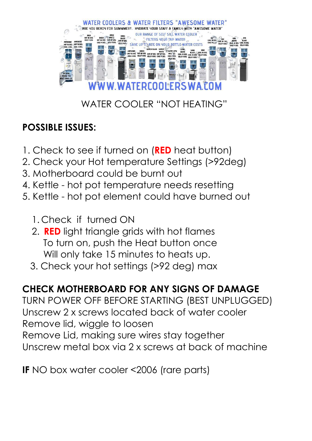

# WATER COOLER "NOT HEATING"

## **POSSIBLE ISSUES:**

- 1. Check to see if turned on (**RED** heat button)
- 2. Check your Hot temperature Settings (>92deg)
- 3. Motherboard could be burnt out
- 4. Kettle hot pot temperature needs resetting
- 5. Kettle hot pot element could have burned out
	- 1. Check if turned ON
	- 2. **RED** light triangle grids with hot flames To turn on, push the Heat button once Will only take 15 minutes to heats up.
	- 3. Check your hot settings (>92 deg) max

### **CHECK MOTHERBOARD FOR ANY SIGNS OF DAMAGE**

TURN POWER OFF BEFORE STARTING (BEST UNPLUGGED) Unscrew 2 x screws located back of water cooler Remove lid, wiggle to loosen Remove Lid, making sure wires stay together Unscrew metal box via 2 x screws at back of machine

**IF** NO box water cooler <2006 (rare parts)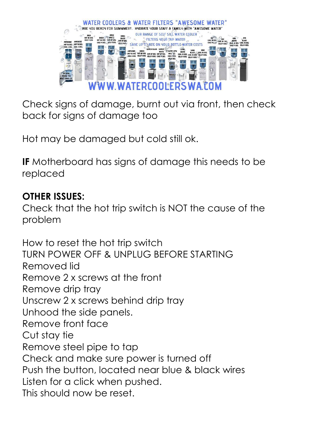

Check signs of damage, burnt out via front, then check back for signs of damage too

Hot may be damaged but cold still ok.

**IF** Motherboard has signs of damage this needs to be replaced

### **OTHER ISSUES:**

Check that the hot trip switch is NOT the cause of the problem

How to reset the hot trip switch TURN POWER OFF & UNPLUG BEFORE STARTING Removed lid Remove 2 x screws at the front Remove drip tray Unscrew 2 x screws behind drip tray Unhood the side panels. Remove front face Cut stay tie Remove steel pipe to tap Check and make sure power is turned off Push the button, located near blue & black wires Listen for a click when pushed. This should now be reset.